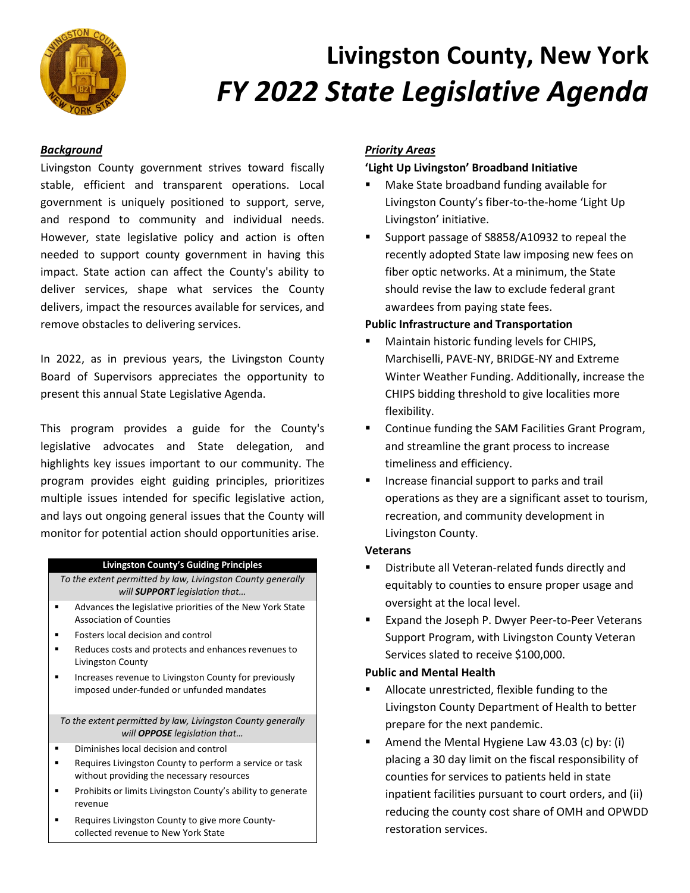

# **Livingston County, New York** *FY 2022 State Legislative Agenda*

## *Background*

Livingston County government strives toward fiscally stable, efficient and transparent operations. Local government is uniquely positioned to support, serve, and respond to community and individual needs. However, state legislative policy and action is often needed to support county government in having this impact. State action can affect the County's ability to deliver services, shape what services the County delivers, impact the resources available for services, and remove obstacles to delivering services.

In 2022, as in previous years, the Livingston County Board of Supervisors appreciates the opportunity to present this annual State Legislative Agenda.

This program provides a guide for the County's legislative advocates and State delegation, and highlights key issues important to our community. The program provides eight guiding principles, prioritizes multiple issues intended for specific legislative action, and lays out ongoing general issues that the County will monitor for potential action should opportunities arise.

#### **Livingston County's Guiding Principles**

*To the extent permitted by law, Livingston County generally will SUPPORT legislation that…*

- Advances the legislative priorities of the New York State Association of Counties
- **Fosters local decision and control**
- Reduces costs and protects and enhances revenues to Livingston County
- Increases revenue to Livingston County for previously imposed under-funded or unfunded mandates

*To the extent permitted by law, Livingston County generally will OPPOSE legislation that…*

- **Diminishes local decision and control**
- **Requires Livingston County to perform a service or task** without providing the necessary resources
- **Prohibits or limits Livingston County's ability to generate** revenue
- Requires Livingston County to give more Countycollected revenue to New York State

## *Priority Areas*

## **'Light Up Livingston' Broadband Initiative**

- Make State broadband funding available for Livingston County's fiber-to-the-home 'Light Up Livingston' initiative.
- Support passage of S8858/A10932 to repeal the recently adopted State law imposing new fees on fiber optic networks. At a minimum, the State should revise the law to exclude federal grant awardees from paying state fees.

## **Public Infrastructure and Transportation**

- Maintain historic funding levels for CHIPS, Marchiselli, PAVE-NY, BRIDGE-NY and Extreme Winter Weather Funding. Additionally, increase the CHIPS bidding threshold to give localities more flexibility.
- **E** Continue funding the SAM Facilities Grant Program, and streamline the grant process to increase timeliness and efficiency.
- **Increase financial support to parks and trail** operations as they are a significant asset to tourism, recreation, and community development in Livingston County.

#### **Veterans**

- **Distribute all Veteran-related funds directly and** equitably to counties to ensure proper usage and oversight at the local level.
- Expand the Joseph P. Dwyer Peer-to-Peer Veterans Support Program, with Livingston County Veteran Services slated to receive \$100,000.

#### **Public and Mental Health**

- Allocate unrestricted, flexible funding to the Livingston County Department of Health to better prepare for the next pandemic.
- Amend the Mental Hygiene Law 43.03 (c) by: (i) placing a 30 day limit on the fiscal responsibility of counties for services to patients held in state inpatient facilities pursuant to court orders, and (ii) reducing the county cost share of OMH and OPWDD restoration services.